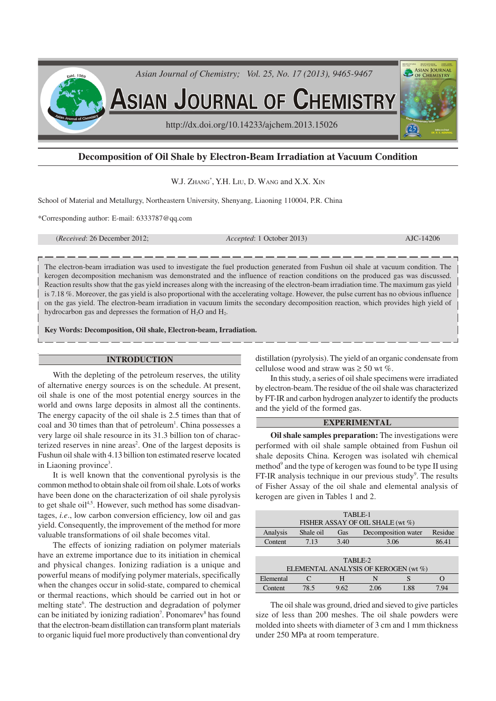

# **Decomposition of Oil Shale by Electron-Beam Irradiation at Vacuum Condition**

W.J. ZHANG<sup>\*</sup>, Y.H. LIU, D. WANG and X.X. XIN

School of Material and Metallurgy, Northeastern University, Shenyang, Liaoning 110004, P.R. China

\*Corresponding author: E-mail: 6333787@qq.com

(*Received*: 26 December 2012; *Accepted*: 1 October 2013) AJC-14206

The electron-beam irradiation was used to investigate the fuel production generated from Fushun oil shale at vacuum condition. The kerogen decomposition mechanism was demonstrated and the influence of reaction conditions on the produced gas was discussed. Reaction results show that the gas yield increases along with the increasing of the electron-beam irradiation time. The maximum gas yield is 7.18 %. Moreover, the gas yield is also proportional with the accelerating voltage. However, the pulse current has no obvious influence on the gas yield. The electron-beam irradiation in vacuum limits the secondary decomposition reaction, which provides high yield of hydrocarbon gas and depresses the formation of  $H_2O$  and  $H_2$ .

**Key Words: Decomposition, Oil shale, Electron-beam, Irradiation.**

#### **INTRODUCTION**

With the depleting of the petroleum reserves, the utility of alternative energy sources is on the schedule. At present, oil shale is one of the most potential energy sources in the world and owns large deposits in almost all the continents. The energy capacity of the oil shale is 2.5 times than that of coal and 30 times than that of petroleum<sup>1</sup>. China possesses a very large oil shale resource in its 31.3 billion ton of characterized reserves in nine areas<sup>2</sup>. One of the largest deposits is Fushun oil shale with 4.13 billion ton estimated reserve located in Liaoning province<sup>3</sup>.

It is well known that the conventional pyrolysis is the common method to obtain shale oil from oil shale. Lots of works have been done on the characterization of oil shale pyrolysis to get shale oil<sup>4,5</sup>. However, such method has some disadvantages, *i.e*., low carbon conversion efficiency, low oil and gas yield. Consequently, the improvement of the method for more valuable transformations of oil shale becomes vital.

The effects of ionizing radiation on polymer materials have an extreme importance due to its initiation in chemical and physical changes. Ionizing radiation is a unique and powerful means of modifying polymer materials, specifically when the changes occur in solid-state, compared to chemical or thermal reactions, which should be carried out in hot or melting state<sup>6</sup>. The destruction and degradation of polymer can be initiated by ionizing radiation<sup>7</sup>. Ponomarev<sup>8</sup> has found that the electron-beam distillation can transform plant materials to organic liquid fuel more productively than conventional dry

distillation (pyrolysis). The yield of an organic condensate from cellulose wood and straw was  $\geq 50$  wt %.

In this study, a series of oil shale specimens were irradiated by electron-beam. The residue of the oil shale was characterized by FT-IR and carbon hydrogen analyzer to identify the products and the yield of the formed gas.

## **EXPERIMENTAL**

**Oil shale samples preparation:** The investigations were performed with oil shale sample obtained from Fushun oil shale deposits China. Kerogen was isolated wih chemical method<sup>9</sup> and the type of kerogen was found to be type II using FT-IR analysis technique in our previous study<sup>9</sup>. The results of Fisher Assay of the oil shale and elemental analysis of kerogen are given in Tables 1 and 2.

| TABLE-1                              |           |      |                                |      |       |  |  |  |
|--------------------------------------|-----------|------|--------------------------------|------|-------|--|--|--|
| FISHER ASSAY OF OIL SHALE (wt %)     |           |      |                                |      |       |  |  |  |
| Analysis                             | Shale oil | Gas  | Residue<br>Decomposition water |      |       |  |  |  |
| Content                              | 7.13      | 3.40 | 3.06                           |      | 86.41 |  |  |  |
|                                      |           |      |                                |      |       |  |  |  |
| TABLE-2                              |           |      |                                |      |       |  |  |  |
| ELEMENTAL ANALYSIS OF KEROGEN (wt %) |           |      |                                |      |       |  |  |  |
| Elemental                            |           | н    | N                              | S    |       |  |  |  |
| Content                              | 78.5      | 9.62 | 2.06                           | 1.88 | 7.94  |  |  |  |

The oil shale was ground, dried and sieved to give particles size of less than 200 meshes. The oil shale powders were molded into sheets with diameter of 3 cm and 1 mm thickness under 250 MPa at room temperature.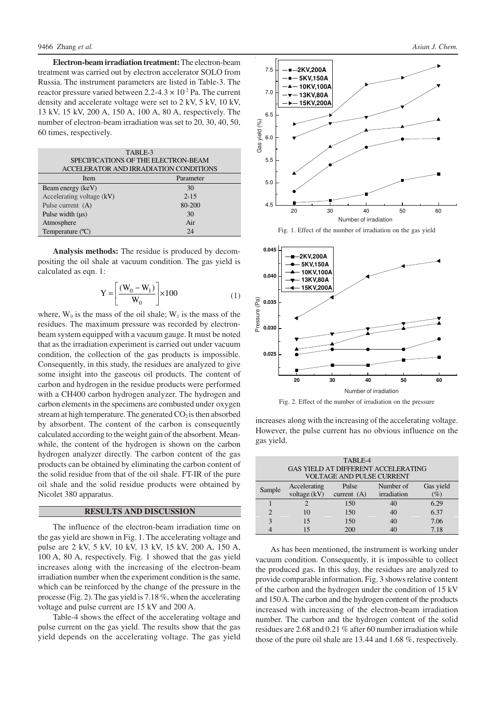**Electron-beam irradiation treatment:** The electron-beam treatment was carried out by electron accelerator SOLO from Russia. The instrument parameters are listed in Table-3. The reactor pressure varied between  $2.2$ -4.3  $\times$  10<sup>-2</sup> Pa. The current density and accelerate voltage were set to 2 kV, 5 kV, 10 kV, 13 kV, 15 kV, 200 A, 150 A, 100 A, 80 A, respectively. The number of electron-beam irradiation was set to 20, 30, 40, 50, 60 times, respectively.

| TABLE-3<br>SPECIFICATIONS OF THE ELECTRON-BEAM |           |  |  |  |  |
|------------------------------------------------|-----------|--|--|--|--|
| ACCELERATOR AND IRRADIATION CONDITIONS         |           |  |  |  |  |
| Item                                           | Parameter |  |  |  |  |
| Beam energy (keV)                              | 30        |  |  |  |  |
| Accelerating voltage (kV)                      | $2 - 15$  |  |  |  |  |
| Pulse current (A)                              | 80-200    |  |  |  |  |
| Pulse width $(\mu s)$                          | 30        |  |  |  |  |
| Atmosphere                                     | Air       |  |  |  |  |
| Temperature $(^{\circ}C)$                      | 24        |  |  |  |  |

**Analysis methods:** The residue is produced by decompositing the oil shale at vacuum condition. The gas yield is calculated as eqn. 1:

$$
Y = \left[\frac{(W_0 - W_1)}{W_0}\right] \times 100\tag{1}
$$

where,  $W_0$  is the mass of the oil shale;  $W_1$  is the mass of the residues. The maximum pressure was recorded by electronbeam system equipped with a vacuum gauge. It must be noted that as the irradiation experiment is carried out under vacuum condition, the collection of the gas products is impossible. Consequently, in this study, the residues are analyzed to give some insight into the gaseous oil products. The content of carbon and hydrogen in the residue products were performed with a CH400 carbon hydrogen analyzer. The hydrogen and carbon elements in the specimens are combusted under oxygen stream at high temperature. The generated  $CO<sub>2</sub>$  is then absorbed by absorbent. The content of the carbon is consequently calculated according to the weight gain of the absorbent. Meanwhile, the content of the hydrogen is shown on the carbon hydrogen analyzer directly. The carbon content of the gas products can be obtained by eliminating the carbon content of the solid residue from that of the oil shale. FT-IR of the pure oil shale and the solid residue products were obtained by Nicolet 380 apparatus.

#### **RESULTS AND DISCUSSION**

The influence of the electron-beam irradiation time on the gas yield are shown in Fig. 1. The accelerating voltage and pulse are 2 kV, 5 kV, 10 kV, 13 kV, 15 kV, 200 A, 150 A, 100 A, 80 A, respectively. Fig. 1 showed that the gas yield increases along with the increasing of the electron-beam irradiation number when the experiment condition is the same, which can be reinforced by the change of the pressure in the processe (Fig. 2). The gas yield is 7.18 %, when the accelerating voltage and pulse current are 15 kV and 200 A.

Table-4 shows the effect of the accelerating voltage and pulse current on the gas yield. The results show that the gas yield depends on the accelerating voltage. The gas yield



Fig. 1. Effect of the number of irradiation on the gas yield



Fig. 2. Effect of the number of irradiation on the pressure

increases along with the increasing of the accelerating voltage. However, the pulse current has no obvious influence on the gas yield.

| TABLE-4                          |                                     |               |             |           |  |  |  |
|----------------------------------|-------------------------------------|---------------|-------------|-----------|--|--|--|
|                                  | GAS YIELD AT DIFFERENT ACCELERATING |               |             |           |  |  |  |
| <b>VOLTAGE AND PULSE CURRENT</b> |                                     |               |             |           |  |  |  |
| Sample                           | Accelerating                        | Pulse         | Number of   | Gas yield |  |  |  |
|                                  | voltage $(kV)$                      | current $(A)$ | irradiation | $\%$      |  |  |  |
|                                  | 2                                   | 150           | 40          | 6.29      |  |  |  |
| $\overline{c}$                   | 10                                  | 150           | 40          | 6.37      |  |  |  |
| 3                                | 15                                  | 150           | 40          | 7.06      |  |  |  |
|                                  | 15                                  | 200           | 40          | 7.18      |  |  |  |

As has been mentioned, the instrument is working under vacuum condition. Consequently, it is impossible to collect the produced gas. In this sduy, the residues are analyzed to provide comparable information. Fig. 3 shows relative content of the carbon and the hydrogen under the condition of 15 kV and 150 A. The carbon and the hydrogen content of the products increased with increasing of the electron-beam irradiation number. The carbon and the hydrogen content of the solid residues are 2.68 and 0.21 % after 60 number irradiation while those of the pure oil shale are 13.44 and 1.68 %, respectively.